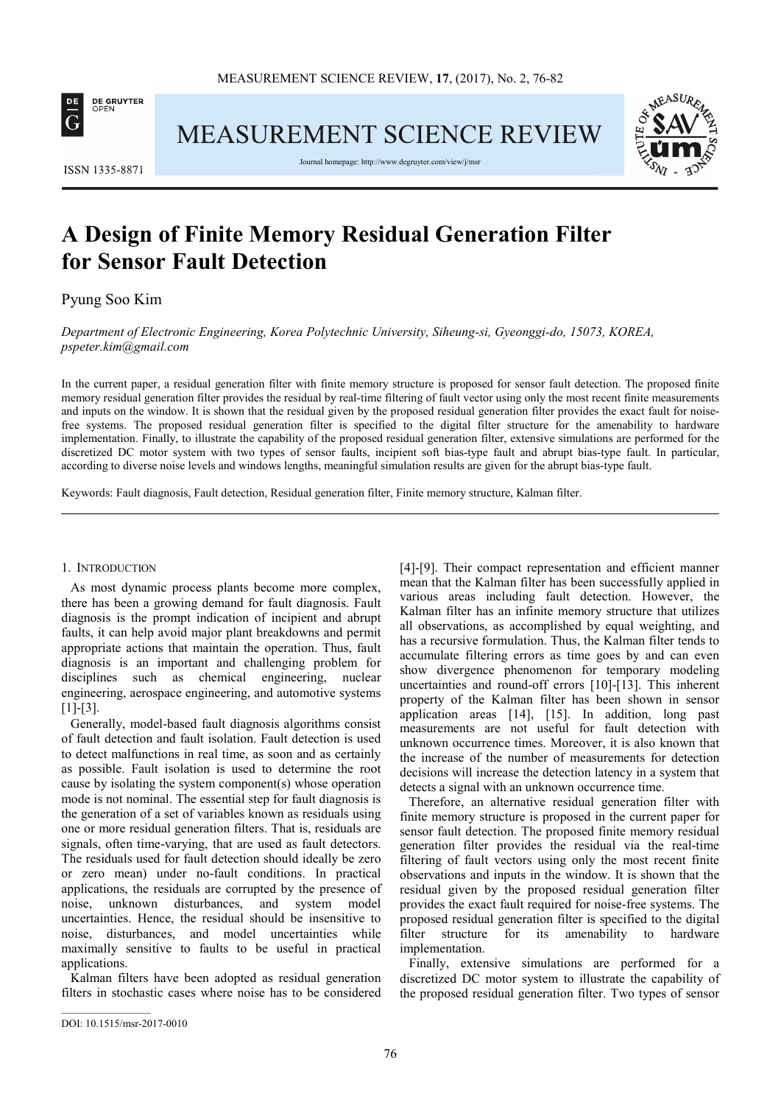

MEASUREMENT SCIENCE REVIEW



ISSN 1335-8871

Journal homepage: http://www.degruyter.com/view/j/ms

# **A Design of Finite Memory Residual Generation Filter for Sensor Fault Detection**

# Pyung Soo Kim

*Department of Electronic Engineering, Korea Polytechnic University, Siheung-si, Gyeonggi-do, 15073, KOREA, pspeter.kim@gmail.com*

In the current paper, a residual generation filter with finite memory structure is proposed for sensor fault detection. The proposed finite memory residual generation filter provides the residual by real-time filtering of fault vector using only the most recent finite measurements and inputs on the window. It is shown that the residual given by the proposed residual generation filter provides the exact fault for noisefree systems. The proposed residual generation filter is specified to the digital filter structure for the amenability to hardware implementation. Finally, to illustrate the capability of the proposed residual generation filter, extensive simulations are performed for the discretized DC motor system with two types of sensor faults, incipient soft bias-type fault and abrupt bias-type fault. In particular, according to diverse noise levels and windows lengths, meaningful simulation results are given for the abrupt bias-type fault.

Keywords: Fault diagnosis, Fault detection, Residual generation filter, Finite memory structure, Kalman filter.

# 1. INTRODUCTION

As most dynamic process plants become more complex, there has been a growing demand for fault diagnosis. Fault diagnosis is the prompt indication of incipient and abrupt faults, it can help avoid major plant breakdowns and permit appropriate actions that maintain the operation. Thus, fault diagnosis is an important and challenging problem for disciplines such as chemical engineering, nuclear engineering, aerospace engineering, and automotive systems [1]-[3].

Generally, model-based fault diagnosis algorithms consist of fault detection and fault isolation. Fault detection is used to detect malfunctions in real time, as soon and as certainly as possible. Fault isolation is used to determine the root cause by isolating the system component(s) whose operation mode is not nominal. The essential step for fault diagnosis is the generation of a set of variables known as residuals using one or more residual generation filters. That is, residuals are signals, often time-varying, that are used as fault detectors. The residuals used for fault detection should ideally be zero or zero mean) under no-fault conditions. In practical applications, the residuals are corrupted by the presence of noise, unknown disturbances, and system model uncertainties. Hence, the residual should be insensitive to noise, disturbances, and model uncertainties while maximally sensitive to faults to be useful in practical applications.

Kalman filters have been adopted as residual generation filters in stochastic cases where noise has to be considered [4]-[9]. Their compact representation and efficient manner mean that the Kalman filter has been successfully applied in various areas including fault detection. However, the Kalman filter has an infinite memory structure that utilizes all observations, as accomplished by equal weighting, and has a recursive formulation. Thus, the Kalman filter tends to accumulate filtering errors as time goes by and can even show divergence phenomenon for temporary modeling uncertainties and round-off errors [10]-[13]. This inherent property of the Kalman filter has been shown in sensor application areas [14], [15]. In addition, long past measurements are not useful for fault detection with unknown occurrence times. Moreover, it is also known that the increase of the number of measurements for detection decisions will increase the detection latency in a system that detects a signal with an unknown occurrence time.

Therefore, an alternative residual generation filter with finite memory structure is proposed in the current paper for sensor fault detection. The proposed finite memory residual generation filter provides the residual via the real-time filtering of fault vectors using only the most recent finite observations and inputs in the window. It is shown that the residual given by the proposed residual generation filter provides the exact fault required for noise-free systems. The proposed residual generation filter is specified to the digital filter structure for its amenability to hardware implementation.

Finally, extensive simulations are performed for a discretized DC motor system to illustrate the capability of the proposed residual generation filter. Two types of sensor

 $\overline{\phantom{a}}$  ,  $\overline{\phantom{a}}$  ,  $\overline{\phantom{a}}$  ,  $\overline{\phantom{a}}$  ,  $\overline{\phantom{a}}$  ,  $\overline{\phantom{a}}$  ,  $\overline{\phantom{a}}$  ,  $\overline{\phantom{a}}$  ,  $\overline{\phantom{a}}$  ,  $\overline{\phantom{a}}$  ,  $\overline{\phantom{a}}$  ,  $\overline{\phantom{a}}$  ,  $\overline{\phantom{a}}$  ,  $\overline{\phantom{a}}$  ,  $\overline{\phantom{a}}$  ,  $\overline{\phantom{a}}$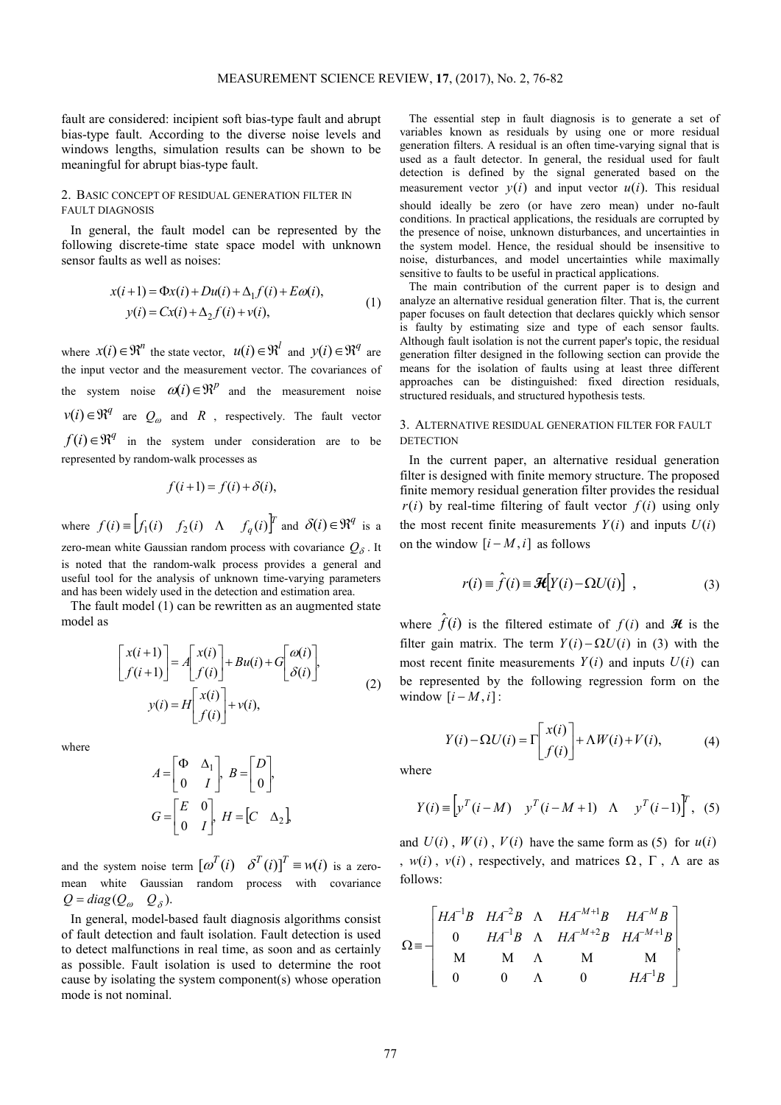fault are considered: incipient soft bias-type fault and abrupt bias-type fault. According to the diverse noise levels and windows lengths, simulation results can be shown to be meaningful for abrupt bias-type fault.

# 2. BASIC CONCEPT OF RESIDUAL GENERATION FILTER IN FAULT DIAGNOSIS

In general, the fault model can be represented by the following discrete-time state space model with unknown sensor faults as well as noises:

$$
x(i+1) = \Phi x(i) + Du(i) + \Delta_1 f(i) + E\omega(i),
$$
  
\n
$$
y(i) = Cx(i) + \Delta_2 f(i) + v(i),
$$
\n(1)

where  $x(i) \in \mathbb{R}^n$  the state vector,  $u(i) \in \mathbb{R}^l$  and  $y(i) \in \mathbb{R}^q$  are the input vector and the measurement vector. The covariances of the system noise  $\omega(i) \in \mathbb{R}^p$  and the measurement noise  $v(i) \in \mathbb{R}^q$  are  $Q_{\omega}$  and *R*, respectively. The fault vector  $f(i) \in \mathbb{R}^q$  in the system under consideration are to be represented by random-walk processes as

$$
f(i+1) = f(i) + \delta(i),
$$

where  $f(i) \equiv [f_1(i) \quad f_2(i) \quad \Lambda \quad f_q(i)]^T$  and  $\delta(i) \in \mathbb{R}^q$  is a zero-mean white Gaussian random process with covariance  $Q_{\delta}$ . It is noted that the random-walk process provides a general and useful tool for the analysis of unknown time-varying parameters and has been widely used in the detection and estimation area.

The fault model (1) can be rewritten as an augmented state model as

$$
\begin{bmatrix} x(i+1) \\ f(i+1) \end{bmatrix} = A \begin{bmatrix} x(i) \\ f(i) \end{bmatrix} + Bu(i) + G \begin{bmatrix} \omega(i) \\ \delta(i) \end{bmatrix},
$$
  

$$
y(i) = H \begin{bmatrix} x(i) \\ f(i) \end{bmatrix} + v(i),
$$
 (2)

where

$$
A = \begin{bmatrix} \Phi & \Delta_1 \\ 0 & I \end{bmatrix}, B = \begin{bmatrix} D \\ 0 \end{bmatrix},
$$

$$
G = \begin{bmatrix} E & 0 \\ 0 & I \end{bmatrix}, H = \begin{bmatrix} C & \Delta_2 \end{bmatrix}
$$

and the system noise term  $[\omega^T(i) \quad \delta^T(i)]^T \equiv w(i)$  is a zeromean white Gaussian random process with covariance  $Q = diag(Q_o \ Q_{\delta}).$ 

In general, model-based fault diagnosis algorithms consist of fault detection and fault isolation. Fault detection is used to detect malfunctions in real time, as soon and as certainly as possible. Fault isolation is used to determine the root cause by isolating the system component(s) whose operation mode is not nominal.

The essential step in fault diagnosis is to generate a set of variables known as residuals by using one or more residual generation filters. A residual is an often time-varying signal that is used as a fault detector. In general, the residual used for fault detection is defined by the signal generated based on the measurement vector  $y(i)$  and input vector  $u(i)$ . This residual should ideally be zero (or have zero mean) under no-fault conditions. In practical applications, the residuals are corrupted by the presence of noise, unknown disturbances, and uncertainties in the system model. Hence, the residual should be insensitive to noise, disturbances, and model uncertainties while maximally sensitive to faults to be useful in practical applications.

The main contribution of the current paper is to design and analyze an alternative residual generation filter. That is, the current paper focuses on fault detection that declares quickly which sensor is faulty by estimating size and type of each sensor faults. Although fault isolation is not the current paper's topic, the residual generation filter designed in the following section can provide the means for the isolation of faults using at least three different approaches can be distinguished: fixed direction residuals, structured residuals, and structured hypothesis tests.

# 3. ALTERNATIVE RESIDUAL GENERATION FILTER FOR FAULT **DETECTION**

In the current paper, an alternative residual generation filter is designed with finite memory structure. The proposed finite memory residual generation filter provides the residual  $r(i)$  by real-time filtering of fault vector  $f(i)$  using only the most recent finite measurements  $Y(i)$  and inputs  $U(i)$ on the window  $[i - M, i]$  as follows

$$
r(i) \equiv \hat{f}(i) \equiv \mathcal{H}[Y(i) - \Omega U(i)] \quad , \tag{3}
$$

where  $\hat{f}(i)$  is the filtered estimate of  $f(i)$  and  $\mathcal{H}$  is the filter gain matrix. The term  $Y(i) - \Omega U(i)$  in (3) with the most recent finite measurements  $Y(i)$  and inputs  $U(i)$  can be represented by the following regression form on the window  $[i - M, i]$ :

$$
Y(i) - \Omega U(i) = \Gamma \begin{bmatrix} x(i) \\ f(i) \end{bmatrix} + \Lambda W(i) + V(i), \tag{4}
$$

where

$$
Y(i) = \left[ y^T(i-M) \quad y^T(i-M+1) \quad \Lambda \quad y^T(i-1) \right]^T, \tag{5}
$$

and  $U(i)$ ,  $W(i)$ ,  $V(i)$  have the same form as (5) for  $u(i)$ ,  $w(i)$ ,  $v(i)$ , respectively, and matrices  $\Omega$ ,  $\Gamma$ ,  $\Lambda$  are as follows:

$$
\Omega = \begin{bmatrix} H A^{-1} B & H A^{-2} B & \Lambda & H A^{-M+1} B & H A^{-M} B \\ 0 & H A^{-1} B & \Lambda & H A^{-M+2} B & H A^{-M+1} B \\ M & M & \Lambda & M & M \\ 0 & 0 & \Lambda & 0 & H A^{-1} B \end{bmatrix},
$$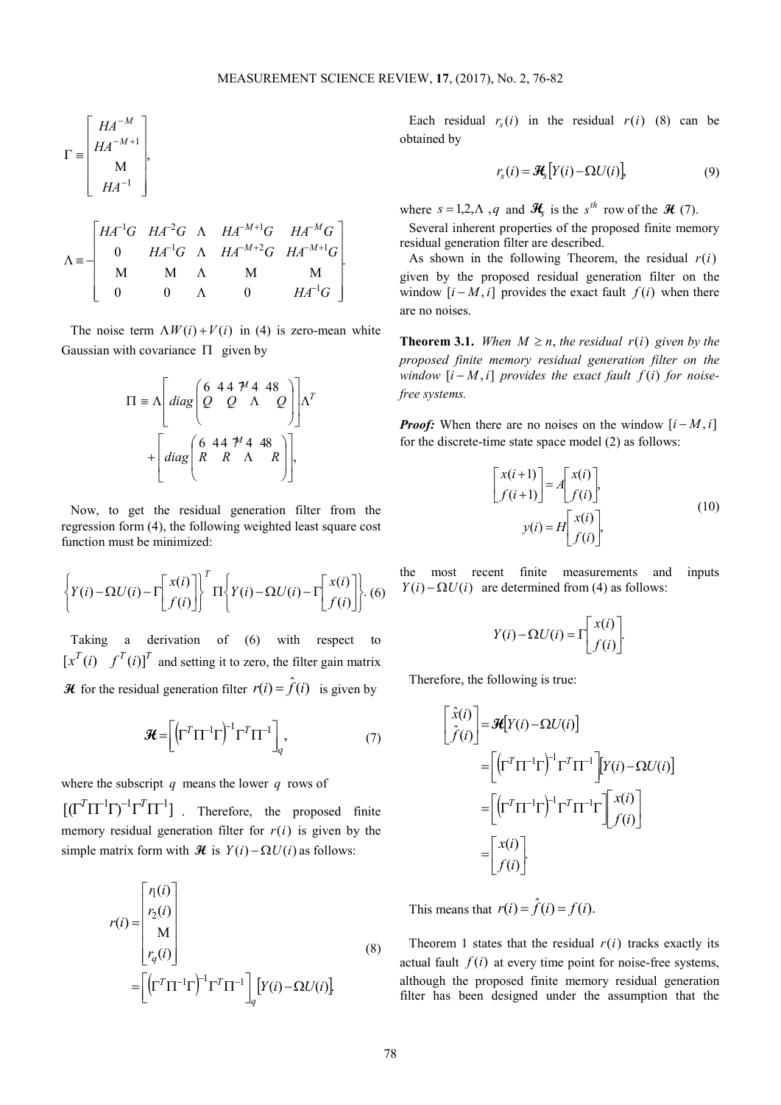$$
\Gamma = \begin{bmatrix} H A^{-M} \\ H A^{-M+1} \\ M \\ H A^{-1} \end{bmatrix},
$$

$$
\Lambda \equiv \begin{bmatrix} H A^{-1} G & H A^{-2} G & \Lambda & H A^{-M+1} G & H A^{-M} G \\ 0 & H A^{-1} G & \Lambda & H A^{-M+2} G & H A^{-M+1} G \\ M & M & \Lambda & M & M \\ 0 & 0 & \Lambda & 0 & H A^{-1} G \end{bmatrix}.
$$

The noise term  $\Lambda W(i) + V(i)$  in (4) is zero-mean white Gaussian with covariance  $\Pi$  given by

$$
\Pi = \Lambda \left[ diag \begin{pmatrix} 6 & 4 & 4 & 4 & 4 & 4 & 8 \\ 0 & 0 & \Lambda & 0 & 0 \\ 0 & 0 & 0 & \Lambda & 0 \\ 0 & 0 & 0 & 0 & 0 \\ 0 & 0 & 0 & 0 & 0 \\ 0 & 0 & 0 & 0 & 0 \\ 0 & 0 & 0 & 0 & 0 \\ 0 & 0 & 0 & 0 & 0 \\ 0 & 0 & 0 & 0 & 0 \\ 0 & 0 & 0 & 0 & 0 \\ 0 & 0 & 0 & 0 & 0 \\ 0 & 0 & 0 & 0 & 0 & 0 \\ 0 & 0 & 0 & 0 & 0 & 0 \\ 0 & 0 & 0 & 0 & 0 & 0 \\ 0 & 0 & 0 & 0 & 0 & 0 \\ 0 & 0 & 0 & 0 & 0 & 0 \\ 0 & 0 & 0 & 0 & 0 & 0 & 0 \\ 0 & 0 & 0 & 0 & 0 & 0 & 0 \\ 0 & 0 & 0 & 0 & 0 & 0 & 0 \\ 0 & 0 & 0 & 0 & 0 & 0 & 0 \\ 0 & 0 & 0 & 0 & 0 & 0 & 0 \\ 0 & 0 & 0 & 0 & 0 & 0 & 0 \\ 0 & 0 & 0 & 0 & 0 & 0 & 0 \\ 0 & 0 & 0 & 0 & 0 & 0 & 0 \\ 0 & 0 & 0 & 0 & 0 & 0 & 0 \\ 0 & 0 & 0 & 0 & 0 & 0 & 0 \\ 0 & 0 & 0 & 0 & 0 & 0 & 0 \\ 0 & 0 & 0 & 0 & 0 & 0 & 0 \\ 0 & 0 & 0 & 0 & 0 & 0 & 0 \\ 0 & 0 & 0 & 0 & 0 & 0 & 0 \\ 0 & 0 & 0 & 0 & 0 & 0 & 0 \\ 0 & 0 & 0 & 0 & 0 & 0 & 0 \\ 0 & 0 & 0 & 0 & 0 & 0 & 0 \\ 0 & 0 & 0 & 0 & 0 & 0 & 0 \\ 0 & 0 & 0 & 0 & 0 & 0 & 0 \\ 0 & 0 & 0 & 0 & 0 & 0 & 0 \\ 0 & 0 & 0 & 0 & 0 & 0 & 0 \\ 0 & 0 & 0 & 0 & 0 & 0 & 0 \\ 0 & 0 & 0 & 0 & 0 & 0 & 0 \\
$$

Now, to get the residual generation filter from the regression form (4), the following weighted least square cost function must be minimized:

$$
\left\{ Y(i) - \Omega U(i) - \Gamma \begin{bmatrix} x(i) \\ f(i) \end{bmatrix} \right\}^T \Pi \left\{ Y(i) - \Omega U(i) - \Gamma \begin{bmatrix} x(i) \\ f(i) \end{bmatrix} \right\}.
$$
 (6)

Taking a derivation of (6) with respect to  $[x^T(i)$   $f^T(i)]^T$  and setting it to zero, the filter gain matrix *H* for the residual generation filter  $r(i) = \hat{f}(i)$  is given by

$$
\mathcal{H} = \left[ \left( \Gamma^T \Pi^{-1} \Gamma \right)^{-1} \Gamma^T \Pi^{-1} \right]_q, \tag{7}
$$

where the subscript *q* means the lower *q* rows of

 $[(\Gamma^T \Pi^{-1} \Gamma)^{-1} \Gamma^T \Pi^{-1}]$  Therefore, the proposed finite memory residual generation filter for  $r(i)$  is given by the simple matrix form with  $\mathcal{H}$  is  $Y(i) - \Omega U(i)$  as follows:

$$
r(i) = \begin{bmatrix} r_1(i) \\ r_2(i) \\ M \\ r_q(i) \end{bmatrix}
$$
\n
$$
= \left[ \left( \Gamma^T \Pi^{-1} \Gamma \right)^{-1} \Gamma^T \Pi^{-1} \right]_q \left[ Y(i) - \Omega U(i) \right].
$$
\n(8)

Each residual  $r_s(i)$  in the residual  $r(i)$  (8) can be obtained by

$$
r_{s}(i) = \mathcal{H}_{s}[Y(i) - \Omega U(i)], \qquad (9)
$$

where  $s = 1,2,\Lambda$ , q and  $\mathcal{H}_s$  is the  $s^{th}$  row of the  $\mathcal{H}$  (7).

Several inherent properties of the proposed finite memory residual generation filter are described.

As shown in the following Theorem, the residual  $r(i)$ given by the proposed residual generation filter on the window  $[i-M, i]$  provides the exact fault  $f(i)$  when there are no noises.

**Theorem 3.1.** When  $M \ge n$ , the residual  $r(i)$  given by the *proposed finite memory residual generation filter on the window*  $[i-M, i]$  *provides the exact fault*  $f(i)$  *for noisefree systems.* 

*Proof:* When there are no noises on the window  $[i - M, i]$ for the discrete-time state space model (2) as follows:

$$
\begin{bmatrix} x(i+1) \\ f(i+1) \end{bmatrix} = A \begin{bmatrix} x(i) \\ f(i) \end{bmatrix},
$$
  

$$
y(i) = H \begin{bmatrix} x(i) \\ f(i) \end{bmatrix},
$$
 (10)

the most recent finite measurements and inputs *Y*(*i*) −  $\Omega$ *U*(*i*) are determined from (4) as follows:

$$
Y(i) - \Omega U(i) = \Gamma \begin{bmatrix} x(i) \\ f(i) \end{bmatrix}.
$$

Therefore, the following is true:

$$
\begin{aligned}\n\begin{bmatrix}\n\hat{x}(i) \\
\hat{f}(i)\n\end{bmatrix} &= \mathcal{H}[Y(i) - \Omega U(i)] \\
&= \left[ \left( \Gamma^T \Pi^{-1} \Gamma \right)^{-1} \Gamma^T \Pi^{-1} \left[ Y(i) - \Omega U(i) \right] \right. \\
&= \left[ \left( \Gamma^T \Pi^{-1} \Gamma \right)^{-1} \Gamma^T \Pi^{-1} \Gamma \left[ \int f(i) \right] \right. \\
&= \left[ \mathcal{F}(i) \right]\n\end{aligned}
$$

This means that  $r(i) = \hat{f}(i) = f(i)$ .

Theorem 1 states that the residual  $r(i)$  tracks exactly its actual fault  $f(i)$  at every time point for noise-free systems, although the proposed finite memory residual generation filter has been designed under the assumption that the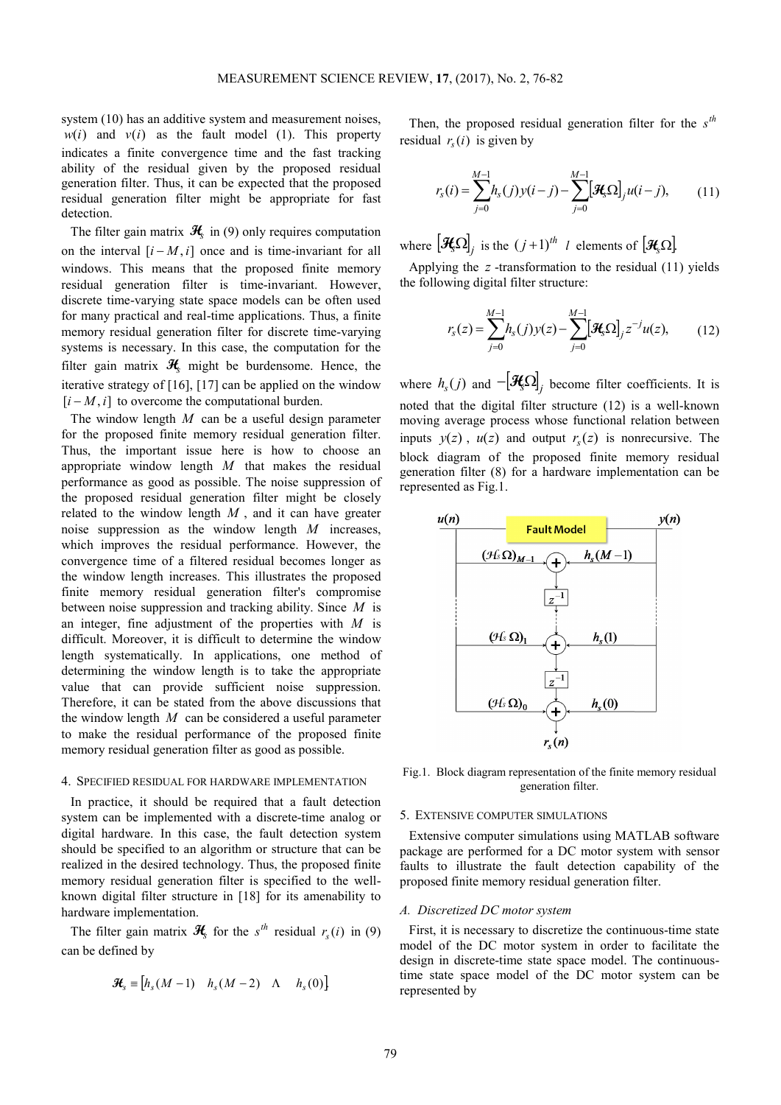system (10) has an additive system and measurement noises,  $w(i)$  and  $v(i)$  as the fault model (1). This property indicates a finite convergence time and the fast tracking ability of the residual given by the proposed residual generation filter. Thus, it can be expected that the proposed residual generation filter might be appropriate for fast detection.

The filter gain matrix  $\mathcal{H}_s$  in (9) only requires computation on the interval  $[i - M, i]$  once and is time-invariant for all windows. This means that the proposed finite memory residual generation filter is time-invariant. However, discrete time-varying state space models can be often used for many practical and real-time applications. Thus, a finite memory residual generation filter for discrete time-varying systems is necessary. In this case, the computation for the filter gain matrix  $\mathcal{H}_s$  might be burdensome. Hence, the iterative strategy of [16], [17] can be applied on the window  $[i-M, i]$  to overcome the computational burden.

The window length *M* can be a useful design parameter for the proposed finite memory residual generation filter. Thus, the important issue here is how to choose an appropriate window length *M* that makes the residual performance as good as possible. The noise suppression of the proposed residual generation filter might be closely related to the window length *M* , and it can have greater noise suppression as the window length *M* increases, which improves the residual performance. However, the convergence time of a filtered residual becomes longer as the window length increases. This illustrates the proposed finite memory residual generation filter's compromise between noise suppression and tracking ability. Since *M* is an integer, fine adjustment of the properties with *M* is difficult. Moreover, it is difficult to determine the window length systematically. In applications, one method of determining the window length is to take the appropriate value that can provide sufficient noise suppression. Therefore, it can be stated from the above discussions that the window length *M* can be considered a useful parameter to make the residual performance of the proposed finite memory residual generation filter as good as possible.

# 4. SPECIFIED RESIDUAL FOR HARDWARE IMPLEMENTATION

In practice, it should be required that a fault detection system can be implemented with a discrete-time analog or digital hardware. In this case, the fault detection system should be specified to an algorithm or structure that can be realized in the desired technology. Thus, the proposed finite memory residual generation filter is specified to the wellknown digital filter structure in [18] for its amenability to hardware implementation.

The filter gain matrix  $\mathcal{H}_s$  for the  $s^{th}$  residual  $r_s(i)$  in (9) can be defined by

$$
\mathcal{H}_s = [h_s(M-1) \quad h_s(M-2) \quad \Lambda \quad h_s(0)]
$$

Then, the proposed residual generation filter for the  $s<sup>th</sup>$ residual  $r_s(i)$  is given by

$$
r_s(i) = \sum_{j=0}^{M-1} h_s(j) y(i-j) - \sum_{j=0}^{M-1} [\mathcal{H}_s \Omega]_j u(i-j), \qquad (11)
$$

where  $\left[ \mathcal{H}_{S} \Omega \right]_{j}$  is the  $\left( j + 1 \right)^{th}$  *l* elements of  $\left[ \mathcal{H}_{S} \Omega \right]$ 

Applying the *z* -transformation to the residual (11) yields the following digital filter structure:

$$
r_s(z) = \sum_{j=0}^{M-1} h_s(j) y(z) - \sum_{j=0}^{M-1} [\mathcal{H}_s \Omega]_j z^{-j} u(z), \qquad (12)
$$

where  $h_s(j)$  and  $\left[ \mathcal{H}_{S} \Omega \right]_j$  become filter coefficients. It is noted that the digital filter structure (12) is a well-known moving average process whose functional relation between inputs  $y(z)$ ,  $u(z)$  and output  $r_s(z)$  is nonrecursive. The block diagram of the proposed finite memory residual generation filter (8) for a hardware implementation can be represented as Fig.1.



Fig.1. Block diagram representation of the finite memory residual generation filter.

#### 5. EXTENSIVE COMPUTER SIMULATIONS

Extensive computer simulations using MATLAB software package are performed for a DC motor system with sensor faults to illustrate the fault detection capability of the proposed finite memory residual generation filter.

# *A. Discretized DC motor system*

First, it is necessary to discretize the continuous-time state model of the DC motor system in order to facilitate the design in discrete-time state space model. The continuoustime state space model of the DC motor system can be represented by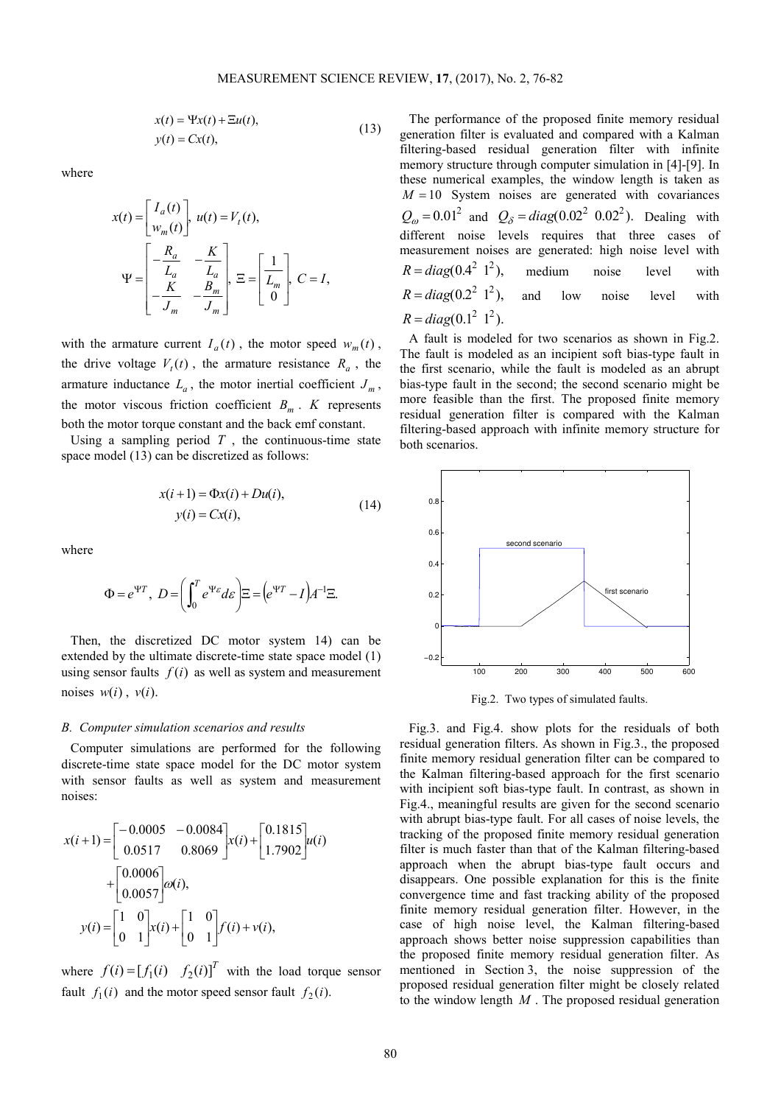$$
x(t) = \Psi x(t) + \Xi u(t),
$$
  
\n
$$
y(t) = Cx(t),
$$
\n(13)

where

$$
x(t) = \begin{bmatrix} I_a(t) \\ w_m(t) \end{bmatrix}, \ u(t) = V_t(t),
$$

$$
\Psi = \begin{bmatrix} -\frac{R_a}{L_a} & -\frac{K}{L_a} \\ -\frac{K}{J_m} & -\frac{B_m}{J_m} \end{bmatrix}, \ \Xi = \begin{bmatrix} \frac{1}{L_m} \\ 0 \end{bmatrix}, \ C = I,
$$

with the armature current  $I_a(t)$ , the motor speed  $w_m(t)$ , the drive voltage  $V_t(t)$ , the armature resistance  $R_a$ , the armature inductance  $L_a$ , the motor inertial coefficient  $J_m$ , the motor viscous friction coefficient  $B_m$ . *K* represents both the motor torque constant and the back emf constant.

Using a sampling period  $T$ , the continuous-time state space model (13) can be discretized as follows:

$$
x(i+1) = \Phi x(i) + Du(i),
$$
  
\n
$$
y(i) = Cx(i),
$$
\n(14)

where

$$
\Phi = e^{\Psi T}, \ D = \left( \int_0^T e^{\Psi \varepsilon} d\varepsilon \right) \Xi = \left( e^{\Psi T} - I \right) A^{-1} \Xi.
$$

Then, the discretized DC motor system 14) can be extended by the ultimate discrete-time state space model (1) using sensor faults  $f(i)$  as well as system and measurement noises  $w(i)$ ,  $v(i)$ .

#### *B. Computer simulation scenarios and results*

Computer simulations are performed for the following discrete-time state space model for the DC motor system with sensor faults as well as system and measurement noises:

$$
x(i+1) = \begin{bmatrix} -0.0005 & -0.0084 \\ 0.0517 & 0.8069 \end{bmatrix} x(i) + \begin{bmatrix} 0.1815 \\ 1.7902 \end{bmatrix} u(i)
$$

$$
+ \begin{bmatrix} 0.0006 \\ 0.0057 \end{bmatrix} \omega(i),
$$

$$
y(i) = \begin{bmatrix} 1 & 0 \\ 0 & 1 \end{bmatrix} x(i) + \begin{bmatrix} 1 & 0 \\ 0 & 1 \end{bmatrix} f(i) + v(i),
$$

where  $f(i) = [f_1(i) \quad f_2(i)]^T$  with the load torque sensor fault  $f_1(i)$  and the motor speed sensor fault  $f_2(i)$ .

The performance of the proposed finite memory residual generation filter is evaluated and compared with a Kalman filtering-based residual generation filter with infinite memory structure through computer simulation in [4]-[9]. In these numerical examples, the window length is taken as  $M = 10$  System noises are generated with covariances  $Q_{\omega} = 0.01^2$  and  $Q_{\delta} = diag(0.02^2 \ 0.02^2)$ . Dealing with different noise levels requires that three cases of measurement noises are generated: high noise level with  $R = diag(0.4^2 \tbinom{1^2}{2})$ , medium noise level with  $R = diag(0.2^2 \t1^2)$ , and low noise level with  $R = diag(0.1^2 \space 1^2)$ .

A fault is modeled for two scenarios as shown in Fig.2. The fault is modeled as an incipient soft bias-type fault in the first scenario, while the fault is modeled as an abrupt bias-type fault in the second; the second scenario might be more feasible than the first. The proposed finite memory residual generation filter is compared with the Kalman filtering-based approach with infinite memory structure for both scenarios.



Fig.2. Two types of simulated faults.

Fig.3. and Fig.4. show plots for the residuals of both residual generation filters. As shown in Fig.3., the proposed finite memory residual generation filter can be compared to the Kalman filtering-based approach for the first scenario with incipient soft bias-type fault. In contrast, as shown in Fig.4., meaningful results are given for the second scenario with abrupt bias-type fault. For all cases of noise levels, the tracking of the proposed finite memory residual generation filter is much faster than that of the Kalman filtering-based approach when the abrupt bias-type fault occurs and disappears. One possible explanation for this is the finite convergence time and fast tracking ability of the proposed finite memory residual generation filter. However, in the case of high noise level, the Kalman filtering-based approach shows better noise suppression capabilities than the proposed finite memory residual generation filter. As mentioned in Section 3, the noise suppression of the proposed residual generation filter might be closely related to the window length *M* . The proposed residual generation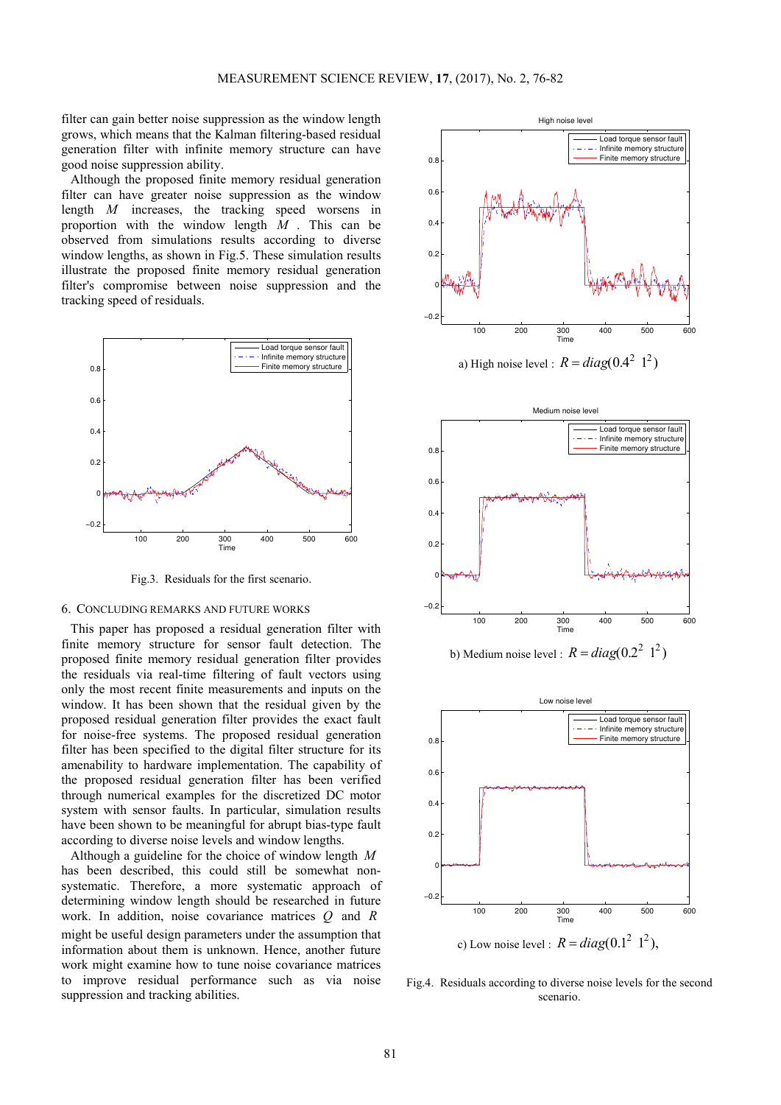filter can gain better noise suppression as the window length grows, which means that the Kalman filtering-based residual generation filter with infinite memory structure can have good noise suppression ability.

Although the proposed finite memory residual generation filter can have greater noise suppression as the window length *M* increases, the tracking speed worsens in proportion with the window length *M* . This can be observed from simulations results according to diverse window lengths, as shown in Fig.5. These simulation results illustrate the proposed finite memory residual generation filter's compromise between noise suppression and the tracking speed of residuals.



Fig.3. Residuals for the first scenario.

# 6. CONCLUDING REMARKS AND FUTURE WORKS

This paper has proposed a residual generation filter with finite memory structure for sensor fault detection. The proposed finite memory residual generation filter provides the residuals via real-time filtering of fault vectors using only the most recent finite measurements and inputs on the window. It has been shown that the residual given by the proposed residual generation filter provides the exact fault for noise-free systems. The proposed residual generation filter has been specified to the digital filter structure for its amenability to hardware implementation. The capability of the proposed residual generation filter has been verified through numerical examples for the discretized DC motor system with sensor faults. In particular, simulation results have been shown to be meaningful for abrupt bias-type fault according to diverse noise levels and window lengths.

Although a guideline for the choice of window length *M* has been described, this could still be somewhat nonsystematic. Therefore, a more systematic approach of determining window length should be researched in future work. In addition, noise covariance matrices *Q* and *R* might be useful design parameters under the assumption that information about them is unknown. Hence, another future work might examine how to tune noise covariance matrices to improve residual performance such as via noise suppression and tracking abilities.



a) High noise level :  $R = diag(0.4^2 \tbinom{1^2}{2})$ 







Fig.4. Residuals according to diverse noise levels for the second scenario.